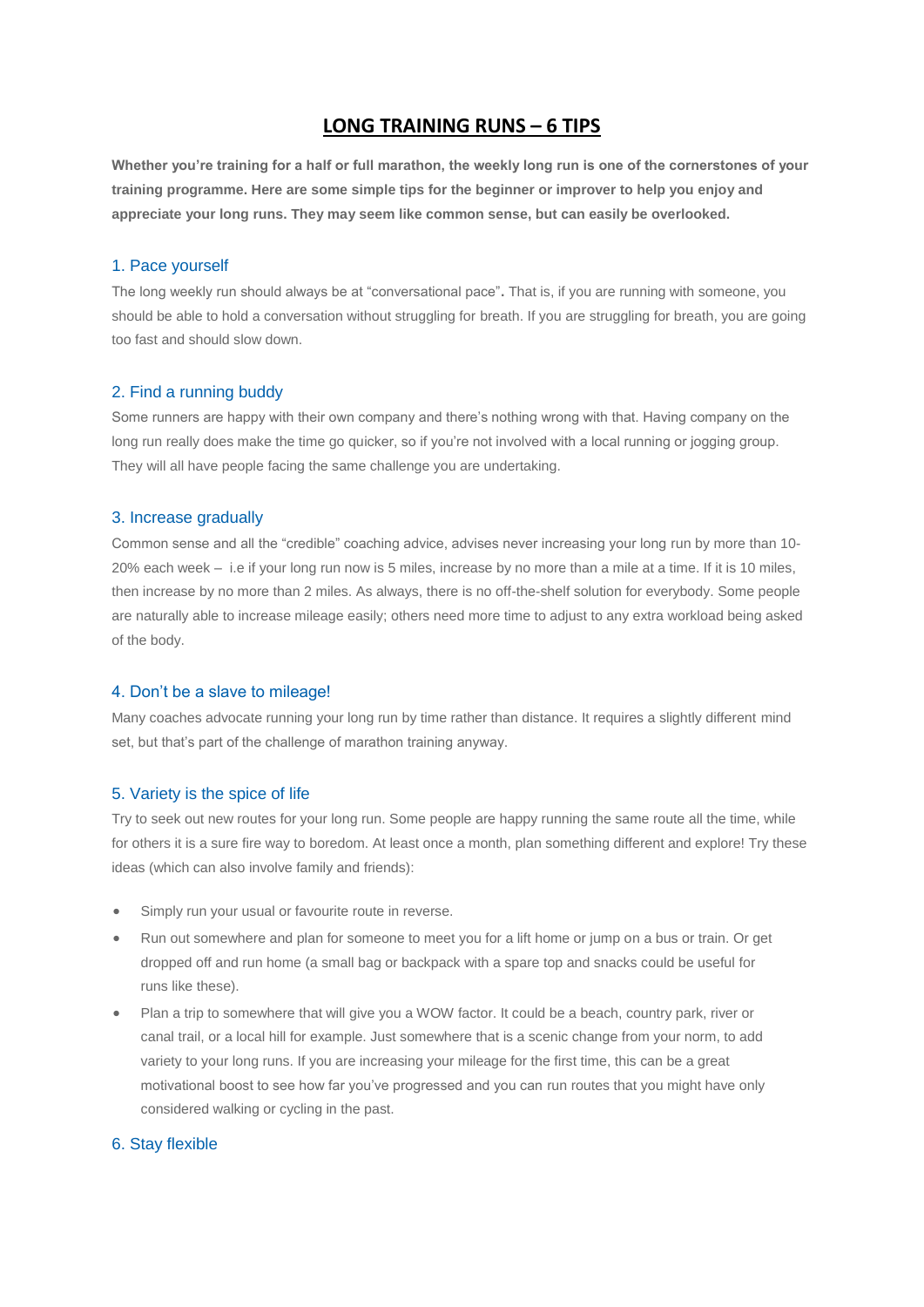# **LONG TRAINING RUNS – 6 TIPS**

**Whether you're training for a half or full marathon, the weekly long run is one of the cornerstones of your training programme. Here are some simple tips for the beginner or improver to help you enjoy and appreciate your long runs. They may seem like common sense, but can easily be overlooked.**

# 1. Pace yourself

The long weekly run should always be at "conversational pace"**.** That is, if you are running with someone, you should be able to hold a conversation without struggling for breath. If you are struggling for breath, you are going too fast and should slow down.

# 2. Find a running buddy

Some runners are happy with their own company and there's nothing wrong with that. Having company on the long run really does make the time go quicker, so if you're not involved with a local running or jogging group. They will all have people facing the same challenge you are undertaking.

#### 3. Increase gradually

Common sense and all the "credible" coaching advice, advises never increasing your long run by more than 10- 20% each week – i.e if your long run now is 5 miles, increase by no more than a mile at a time. If it is 10 miles, then increase by no more than 2 miles. As always, there is no off-the-shelf solution for everybody. Some people are naturally able to increase mileage easily; others need more time to adjust to any extra workload being asked of the body.

# 4. Don't be a slave to mileage!

Many coaches advocate running your long run by time rather than distance. It requires a slightly different mind set, but that's part of the challenge of marathon training anyway.

# 5. Variety is the spice of life

Try to seek out new routes for your long run. Some people are happy running the same route all the time, while for others it is a sure fire way to boredom. At least once a month, plan something different and explore! Try these ideas (which can also involve family and friends):

- Simply run your usual or favourite route in reverse.
- Run out somewhere and plan for someone to meet you for a lift home or jump on a bus or train. Or get dropped off and run home (a small bag or backpack with a spare top and snacks could be useful for runs like these).
- Plan a trip to somewhere that will give you a WOW factor. It could be a beach, country park, river or canal trail, or a local hill for example. Just somewhere that is a scenic change from your norm, to add variety to your long runs. If you are increasing your mileage for the first time, this can be a great motivational boost to see how far you've progressed and you can run routes that you might have only considered walking or cycling in the past.

# 6. Stay flexible